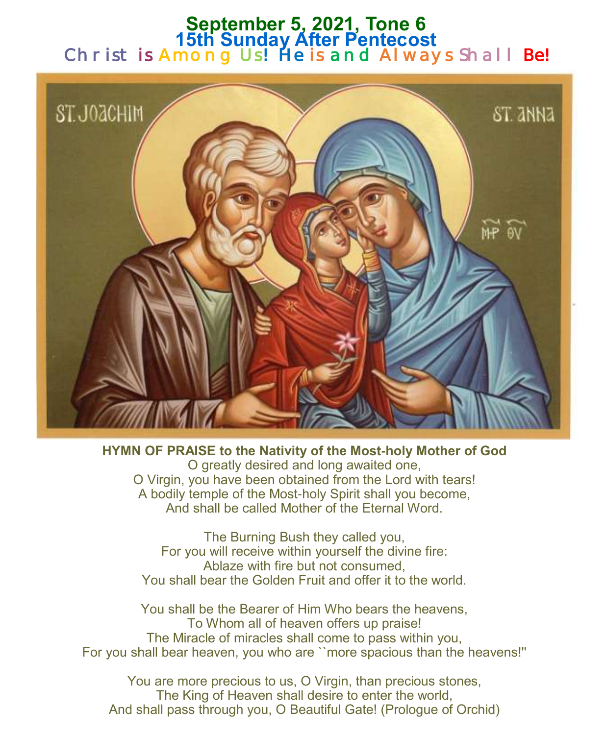### **September 5, 2021, Tone 6 15th Sunday After Pentecost**  Christ is Among Us! He is and Always Shall Be!



**HYMN OF PRAISE to the Nativity of the Most-holy Mother of God** O greatly desired and long awaited one, O Virgin, you have been obtained from the Lord with tears! A bodily temple of the Most-holy Spirit shall you become, And shall be called Mother of the Eternal Word.

The Burning Bush they called you, For you will receive within yourself the divine fire: Ablaze with fire but not consumed, You shall bear the Golden Fruit and offer it to the world.

You shall be the Bearer of Him Who bears the heavens, To Whom all of heaven offers up praise! The Miracle of miracles shall come to pass within you, For you shall bear heaven, you who are ``more spacious than the heavens!''

You are more precious to us, O Virgin, than precious stones, The King of Heaven shall desire to enter the world, And shall pass through you, O Beautiful Gate! (Prologue of Orchid)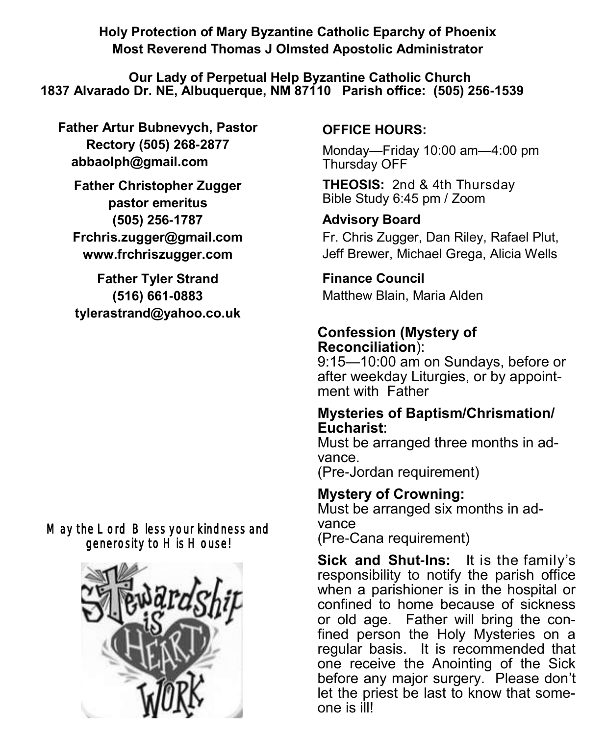**Holy Protection of Mary Byzantine Catholic Eparchy of Phoenix Most Reverend Thomas J Olmsted Apostolic Administrator** 

**Our Lady of Perpetual Help Byzantine Catholic Church 1837 Alvarado Dr. NE, Albuquerque, NM 87110 Parish office: (505) 256-1539**

**Father Artur Bubnevych, Pastor Rectory (505) 268-2877 abbaolph@gmail.com** 

**Father Christopher Zugger pastor emeritus (505) 256-1787 Frchris.zugger@gmail.com www.frchriszugger.com** 

**Father Tyler Strand (516) 661-0883 tylerastrand@yahoo.co.uk**

May the Lord Bless your kindness and generosity to His House!



#### **OFFICE HOURS:**

Monday—Friday 10:00 am—4:00 pm Thursday OFF

**THEOSIS:** 2nd & 4th Thursday Bible Study 6:45 pm / Zoom

### **Advisory Board**

Fr. Chris Zugger, Dan Riley, Rafael Plut, Jeff Brewer, Michael Grega, Alicia Wells

# **Finance Council**

Matthew Blain, Maria Alden

### **Confession (Mystery of Reconciliation**):

9:15—10:00 am on Sundays, before or after weekday Liturgies, or by appointment with Father

#### **Mysteries of Baptism/Chrismation/ Eucharist**:

Must be arranged three months in advance.

(Pre-Jordan requirement)

### **Mystery of Crowning:**

Must be arranged six months in advance (Pre-Cana requirement)

**Sick and Shut-Ins:** It is the family's responsibility to notify the parish office when a parishioner is in the hospital or confined to home because of sickness or old age. Father will bring the confined person the Holy Mysteries on a regular basis. It is recommended that one receive the Anointing of the Sick before any major surgery. Please don't let the priest be last to know that someone is ill!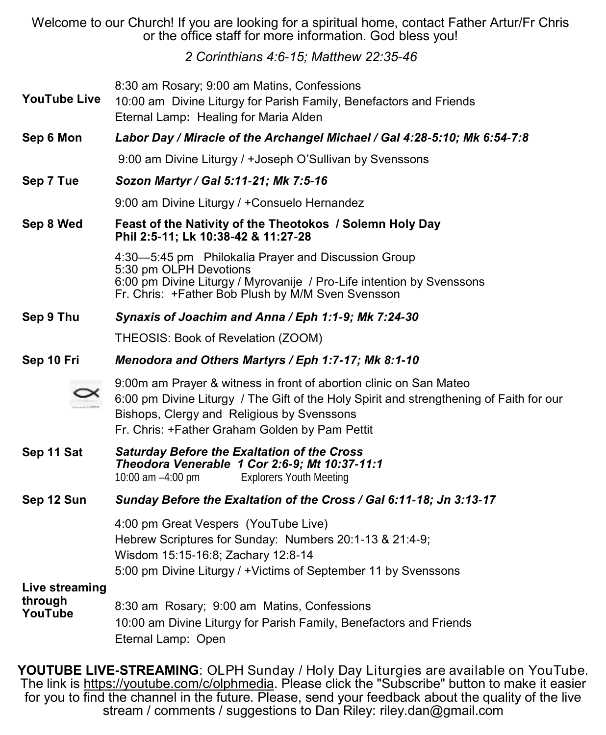Welcome to our Church! If you are looking for a spiritual home, contact Father Artur/Fr Chris or the office staff for more information. God bless you!

*2 Corinthians 4:6-15; Matthew 22:35-46*

| <b>YouTube Live</b>                  | 8:30 am Rosary; 9:00 am Matins, Confessions<br>10:00 am Divine Liturgy for Parish Family, Benefactors and Friends<br>Eternal Lamp: Healing for Maria Alden                                                                                                    |  |
|--------------------------------------|---------------------------------------------------------------------------------------------------------------------------------------------------------------------------------------------------------------------------------------------------------------|--|
| Sep 6 Mon                            | Labor Day / Miracle of the Archangel Michael / Gal 4:28-5:10; Mk 6:54-7:8                                                                                                                                                                                     |  |
|                                      | 9:00 am Divine Liturgy / +Joseph O'Sullivan by Svenssons                                                                                                                                                                                                      |  |
| Sep 7 Tue                            | Sozon Martyr / Gal 5:11-21; Mk 7:5-16                                                                                                                                                                                                                         |  |
|                                      | 9:00 am Divine Liturgy / +Consuelo Hernandez                                                                                                                                                                                                                  |  |
| Sep 8 Wed                            | Feast of the Nativity of the Theotokos / Solemn Holy Day<br>Phil 2:5-11; Lk 10:38-42 & 11:27-28                                                                                                                                                               |  |
|                                      | 4:30-5:45 pm Philokalia Prayer and Discussion Group<br>5:30 pm OLPH Devotions<br>6:00 pm Divine Liturgy / Myrovanije / Pro-Life intention by Svenssons<br>Fr. Chris: +Father Bob Plush by M/M Sven Svensson                                                   |  |
| Sep 9 Thu                            | Synaxis of Joachim and Anna / Eph 1:1-9; Mk 7:24-30                                                                                                                                                                                                           |  |
|                                      | THEOSIS: Book of Revelation (ZOOM)                                                                                                                                                                                                                            |  |
| Sep 10 Fri                           | Menodora and Others Martyrs / Eph 1:7-17; Mk 8:1-10                                                                                                                                                                                                           |  |
|                                      | 9:00m am Prayer & witness in front of abortion clinic on San Mateo<br>6:00 pm Divine Liturgy / The Gift of the Holy Spirit and strengthening of Faith for our<br>Bishops, Clergy and Religious by Svenssons<br>Fr. Chris: +Father Graham Golden by Pam Pettit |  |
| Sep 11 Sat                           | <b>Saturday Before the Exaltation of the Cross</b><br>Theodora Venerable 1 Cor 2:6-9; Mt 10:37-11:1<br>10:00 am -4:00 pm<br><b>Explorers Youth Meeting</b>                                                                                                    |  |
| Sep 12 Sun                           | Sunday Before the Exaltation of the Cross / Gal 6:11-18; Jn 3:13-17                                                                                                                                                                                           |  |
|                                      | 4:00 pm Great Vespers (YouTube Live)<br>Hebrew Scriptures for Sunday: Numbers 20:1-13 & 21:4-9;<br>Wisdom 15:15-16:8; Zachary 12:8-14<br>5:00 pm Divine Liturgy / +Victims of September 11 by Svenssons                                                       |  |
| Live streaming<br>through<br>YouTube | 8:30 am Rosary; 9:00 am Matins, Confessions<br>10:00 am Divine Liturgy for Parish Family, Benefactors and Friends<br>Eternal Lamp: Open                                                                                                                       |  |

**YOUTUBE LIVE-STREAMING**: OLPH Sunday / Holy Day Liturgies are available on YouTube. The link is <u>https://youtube.com/c/olphmedia</u>. Please click the "Subscribe" button to make it easier for you to find the channel in the future. Please, send your feedback about the quality of the live stream / comments / suggestions to Dan Riley: [riley.dan@gmail.com](mailto:riley.dan@gmail.com)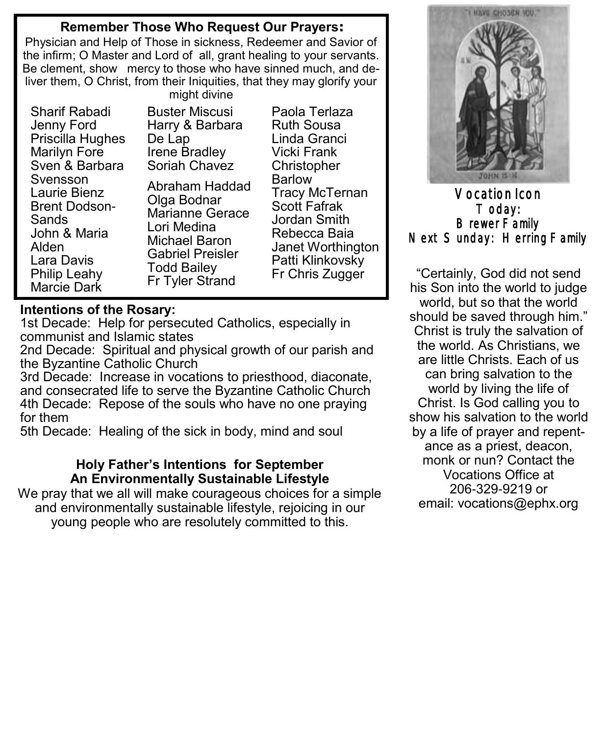#### **Remember Those Who Request Our Prayers:**

Physician and Help of Those in sickness, Redeemer and Savior of the infirm; O Master and Lord of all, grant healing to your servants. Be clement, show mercy to those who have sinned much, and deliver them, O Christ, from their Iniquities, that they may glorify your

Sharif Rabadi Jenny Ford Priscilla Hughes Marilyn Fore Sven & Barbara Svensson Laurie Bienz Brent Dodson-**Sands** John & Maria Alden Lara Davis Philip Leahy Marcie Dark

might divine Buster Miscusi Harry & Barbara De Lap Irene Bradley Soriah Chavez Abraham Haddad Olga Bodnar Marianne Gerace Lori Medina Michael Baron Gabriel Preisler Todd Bailey Fr Tyler Strand

Paola Terlaza Ruth Sousa Linda Granci Vicki Frank **Christopher** Barlow Tracy McTernan Scott Fafrak Jordan Smith Rebecca Baia Janet Worthington Patti Klinkovsky Fr Chris Zugger

# **Intentions of the Rosary:**

1st Decade: Help for persecuted Catholics, especially in communist and Islamic states

2nd Decade: Spiritual and physical growth of our parish and the Byzantine Catholic Church

3rd Decade: Increase in vocations to priesthood, diaconate, and consecrated life to serve the Byzantine Catholic Church 4th Decade: Repose of the souls who have no one praying for them

5th Decade: Healing of the sick in body, mind and soul

#### **Holy Father's Intentions for September An Environmentally Sustainable Lifestyle**

We pray that we all will make courageous choices for a simple and environmentally sustainable lifestyle, rejoicing in our young people who are resolutely committed to this.



Vocation Icon Today: Brewer Family Next Sunday: Herring Family

"Certainly, God did not send his Son into the world to judge world, but so that the world should be saved through him." Christ is truly the salvation of the world. As Christians, we are little Christs. Each of us can bring salvation to the world by living the life of Christ. Is God calling you to show his salvation to the world by a life of prayer and repentance as a priest, deacon, monk or nun? Contact the Vocations Office at 206-329-9219 or email: [vocations@ephx.org](mailto:vocations@ephx.org%20)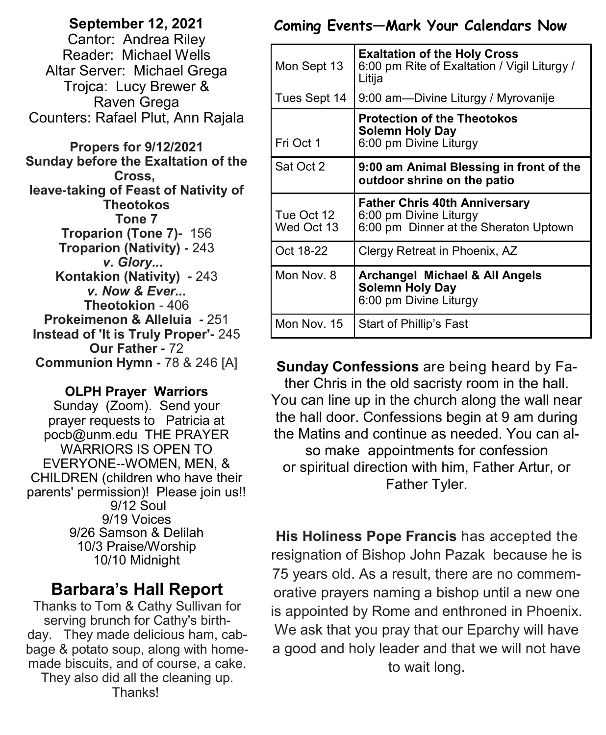**September 12, 2021**  Cantor: Andrea Riley Reader: Michael Wells Altar Server: Michael Grega Trojca: Lucy Brewer & Raven Grega Counters: Rafael Plut, Ann Rajala

**Propers for 9/12/2021 Sunday before the Exaltation of the Cross, leave-taking of Feast of Nativity of Theotokos Tone 7 Troparion (Tone 7)-** 156 **Troparion (Nativity) -** 243 *v. Glory...*  **Kontakion (Nativity) -** 243 *v. Now & Ever...* **Theotokion** - 406 **Prokeimenon & Alleluia -** 251 **Instead of 'It is Truly Proper'-** 245 **Our Father -** 72 **Communion Hymn -** 78 & 246 [A]

#### **OLPH Prayer Warriors**

Sunday (Zoom). Send your prayer requests to Patricia at pocb@unm.edu THE PRAYER WARRIORS IS OPEN TO EVERYONE--WOMEN, MEN, & CHILDREN (children who have their parents' permission)! Please join us!! 9/12 Soul 9/19 Voices 9/26 Samson & Delilah 10/3 Praise/Worship 10/10 Midnight

### **Barbara's Hall Report**

Thanks to Tom & Cathy Sullivan for serving brunch for Cathy's birthday. They made delicious ham, cabbage & potato soup, along with homemade biscuits, and of course, a cake. They also did all the cleaning up. Thanks!

#### **Coming Events—Mark Your Calendars Now**

| Mon Sept 13              | <b>Exaltation of the Holy Cross</b><br>6:00 pm Rite of Exaltation / Vigil Liturgy /<br>Litija           |  |
|--------------------------|---------------------------------------------------------------------------------------------------------|--|
| Tues Sept 14             | 9:00 am-Divine Liturgy / Myrovanije                                                                     |  |
| Fri Oct 1                | <b>Protection of the Theotokos</b><br><b>Solemn Holy Day</b><br>6:00 pm Divine Liturgy                  |  |
| Sat Oct 2                | 9:00 am Animal Blessing in front of the<br>outdoor shrine on the patio                                  |  |
| Tue Oct 12<br>Wed Oct 13 | <b>Father Chris 40th Anniversary</b><br>6:00 pm Divine Liturgy<br>6:00 pm Dinner at the Sheraton Uptown |  |
| Oct 18-22                | Clergy Retreat in Phoenix, AZ                                                                           |  |
| Mon Nov. 8               | <b>Archangel Michael &amp; All Angels</b><br><b>Solemn Holy Day</b><br>6:00 pm Divine Liturgy           |  |
| Mon Nov. 15              | Start of Phillip's Fast                                                                                 |  |

**Sunday Confessions** are being heard by Father Chris in the old sacristy room in the hall. You can line up in the church along the wall near the hall door. Confessions begin at 9 am during the Matins and continue as needed. You can also make appointments for confession or spiritual direction with him, Father Artur, or Father Tyler.

**His Holiness Pope Francis** has accepted the resignation of Bishop John Pazak because he is 75 years old. As a result, there are no commemorative prayers naming a bishop until a new one is appointed by Rome and enthroned in Phoenix. We ask that you pray that our Eparchy will have a good and holy leader and that we will not have to wait long.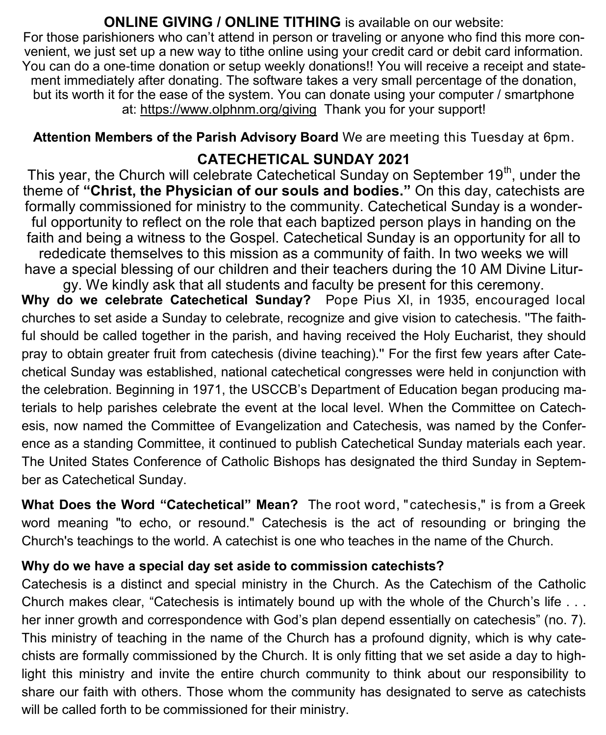#### **ONLINE GIVING / ONLINE TITHING** is available on our website:

For those parishioners who can't attend in person or traveling or anyone who find this more convenient, we just set up a new way to tithe online using your credit card or debit card information. You can do a one-time donation or setup weekly donations!! You will receive a receipt and statement immediately after donating. The software takes a very small percentage of the donation, but its worth it for the ease of the system. You can donate using your computer / smartphone at: <https://www.olphnm.org/giving>Thank you for your support!

**Attention Members of the Parish Advisory Board** We are meeting this Tuesday at 6pm.

## **CATECHETICAL SUNDAY 2021**

This year, the Church will celebrate Catechetical Sunday on September  $19<sup>th</sup>$ , under the theme of **"Christ, the Physician of our souls and bodies."** On this day, catechists are formally commissioned for ministry to the community. Catechetical Sunday is a wonderful opportunity to reflect on the role that each baptized person plays in handing on the faith and being a witness to the Gospel. Catechetical Sunday is an opportunity for all to

rededicate themselves to this mission as a community of faith. In two weeks we will have a special blessing of our children and their teachers during the 10 AM Divine Litur-

gy. We kindly ask that all students and faculty be present for this ceremony. Why do we celebrate Catechetical Sunday? Pope Pius XI, in 1935, encouraged local churches to set aside a Sunday to celebrate, recognize and give vision to catechesis. ''The faithful should be called together in the parish, and having received the Holy Eucharist, they should pray to obtain greater fruit from catechesis (divine teaching).'' For the first few years after Catechetical Sunday was established, national catechetical congresses were held in conjunction with the celebration. Beginning in 1971, the USCCB's Department of Education began producing materials to help parishes celebrate the event at the local level. When the Committee on Catechesis, now named the Committee of Evangelization and Catechesis, was named by the Conference as a standing Committee, it continued to publish Catechetical Sunday materials each year. The United States Conference of Catholic Bishops has designated the third Sunday in September as Catechetical Sunday.

**What Does the Word "Catechetical" Mean?** The root word, "catechesis," is from a Greek word meaning "to echo, or resound." Catechesis is the act of resounding or bringing the Church's teachings to the world. A catechist is one who teaches in the name of the Church.

#### **Why do we have a special day set aside to commission catechists?**

Catechesis is a distinct and special ministry in the Church. As the Catechism of the Catholic Church makes clear, "Catechesis is intimately bound up with the whole of the Church's life . . . her inner growth and correspondence with God's plan depend essentially on catechesis" (no. 7). This ministry of teaching in the name of the Church has a profound dignity, which is why catechists are formally commissioned by the Church. It is only fitting that we set aside a day to highlight this ministry and invite the entire church community to think about our responsibility to share our faith with others. Those whom the community has designated to serve as catechists will be called forth to be commissioned for their ministry.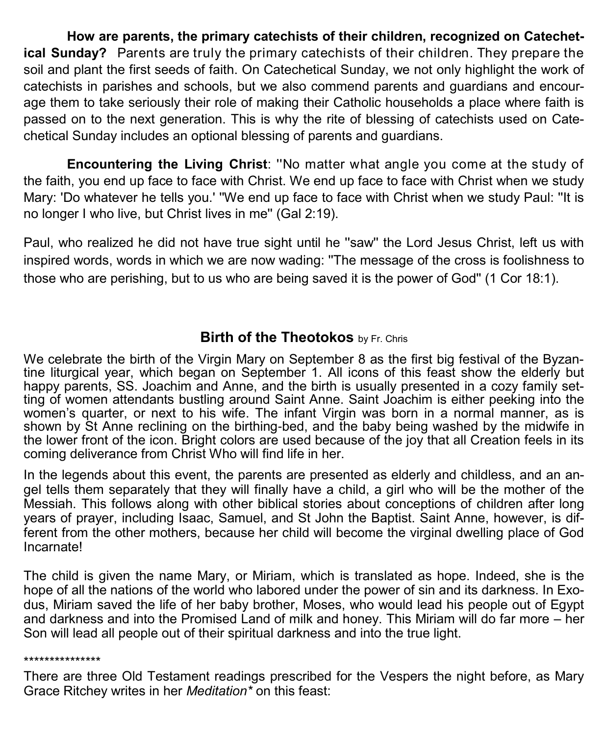**How are parents, the primary catechists of their children, recognized on Catechetical Sunday?** Parents are truly the primary catechists of their children. They prepare the soil and plant the first seeds of faith. On Catechetical Sunday, we not only highlight the work of catechists in parishes and schools, but we also commend parents and guardians and encourage them to take seriously their role of making their Catholic households a place where faith is passed on to the next generation. This is why the rite of blessing of catechists used on Catechetical Sunday includes an optional blessing of parents and guardians.

**Encountering the Living Christ**: ''No matter what angle you come at the study of the faith, you end up face to face with Christ. We end up face to face with Christ when we study Mary: 'Do whatever he tells you.' ''We end up face to face with Christ when we study Paul: ''It is no longer I who live, but Christ lives in me'' (Gal 2:19).

Paul, who realized he did not have true sight until he ''saw'' the Lord Jesus Christ, left us with inspired words, words in which we are now wading: ''The message of the cross is foolishness to those who are perishing, but to us who are being saved it is the power of God'' (1 Cor 18:1).

#### **Birth of the Theotokos** by Fr. Chris

We celebrate the birth of the Virgin Mary on September 8 as the first big festival of the Byzantine liturgical year, which began on September 1. All icons of this feast show the elderly but happy parents, SS. Joachim and Anne, and the birth is usually presented in a cozy family setting of women attendants bustling around Saint Anne. Saint Joachim is either peeking into the women's quarter, or next to his wife. The infant Virgin was born in a normal manner, as is shown by St Anne reclining on the birthing-bed, and the baby being washed by the midwife in the lower front of the icon. Bright colors are used because of the joy that all Creation feels in its coming deliverance from Christ Who will find life in her.

In the legends about this event, the parents are presented as elderly and childless, and an angel tells them separately that they will finally have a child, a girl who will be the mother of the Messiah. This follows along with other biblical stories about conceptions of children after long years of prayer, including Isaac, Samuel, and St John the Baptist. Saint Anne, however, is different from the other mothers, because her child will become the virginal dwelling place of God Incarnate!

The child is given the name Mary, or Miriam, which is translated as hope. Indeed, she is the hope of all the nations of the world who labored under the power of sin and its darkness. In Exodus, Miriam saved the life of her baby brother, Moses, who would lead his people out of Egypt and darkness and into the Promised Land of milk and honey. This Miriam will do far more – her Son will lead all people out of their spiritual darkness and into the true light.

#### \*\*\*\*\*\*\*\*\*\*\*\*\*\*\*

There are three Old Testament readings prescribed for the Vespers the night before, as Mary Grace Ritchey writes in her *Meditation\** on this feast: